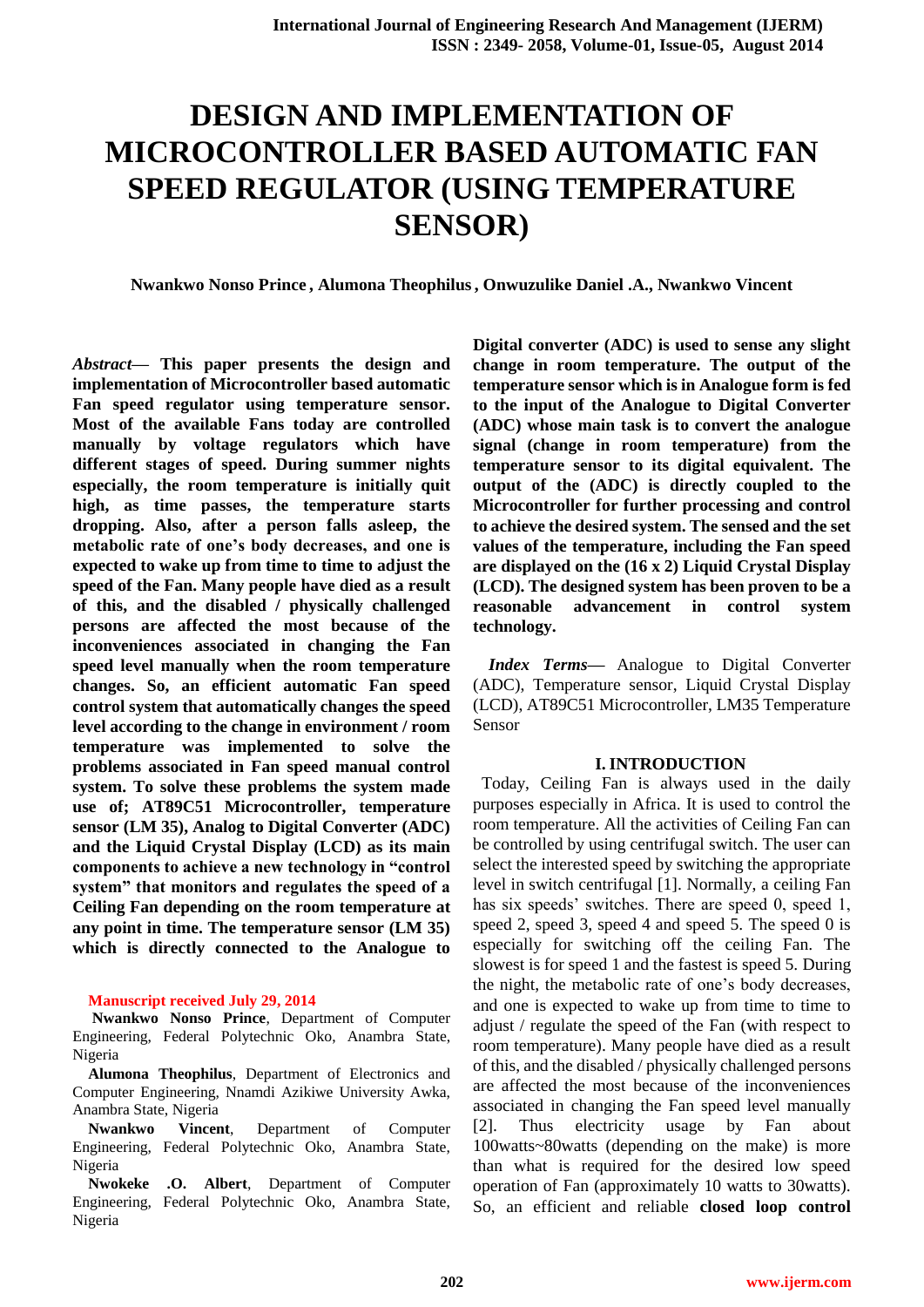**Nwankwo Nonso Prince , Alumona Theophilus, Onwuzulike Daniel .A., Nwankwo Vincent**

*Abstract***— This paper presents the design and implementation of Microcontroller based automatic Fan speed regulator using temperature sensor. Most of the available Fans today are controlled manually by voltage regulators which have different stages of speed. During summer nights especially, the room temperature is initially quit high, as time passes, the temperature starts dropping. Also, after a person falls asleep, the metabolic rate of one's body decreases, and one is expected to wake up from time to time to adjust the speed of the Fan. Many people have died as a result of this, and the disabled / physically challenged persons are affected the most because of the inconveniences associated in changing the Fan speed level manually when the room temperature changes. So, an efficient automatic Fan speed control system that automatically changes the speed level according to the change in environment / room temperature was implemented to solve the problems associated in Fan speed manual control system. To solve these problems the system made use of; AT89C51 Microcontroller, temperature sensor (LM 35), Analog to Digital Converter (ADC) and the Liquid Crystal Display (LCD) as its main components to achieve a new technology in "control system" that monitors and regulates the speed of a Ceiling Fan depending on the room temperature at any point in time. The temperature sensor (LM 35) which is directly connected to the Analogue to** 

#### **Manuscript received July 29, 2014**

**Nwankwo Nonso Prince**, Department of Computer Engineering, Federal Polytechnic Oko, Anambra State, Nigeria

**Alumona Theophilus**, Department of Electronics and Computer Engineering, Nnamdi Azikiwe University Awka, Anambra State, Nigeria

**Nwankwo Vincent**, Department of Computer Engineering, Federal Polytechnic Oko, Anambra State, Nigeria

**Nwokeke .O. Albert**, Department of Computer Engineering, Federal Polytechnic Oko, Anambra State, Nigeria

**Digital converter (ADC) is used to sense any slight change in room temperature. The output of the temperature sensor which is in Analogue form is fed to the input of the Analogue to Digital Converter (ADC) whose main task is to convert the analogue signal (change in room temperature) from the temperature sensor to its digital equivalent. The output of the (ADC) is directly coupled to the Microcontroller for further processing and control to achieve the desired system. The sensed and the set values of the temperature, including the Fan speed are displayed on the (16 x 2) Liquid Crystal Display (LCD). The designed system has been proven to be a reasonable advancement in control system technology.**

*Index Terms***—** Analogue to Digital Converter (ADC), Temperature sensor, Liquid Crystal Display (LCD), AT89C51 Microcontroller, LM35 Temperature Sensor

#### **I. INTRODUCTION**

 Today, Ceiling Fan is always used in the daily purposes especially in Africa. It is used to control the room temperature. All the activities of Ceiling Fan can be controlled by using centrifugal switch. The user can select the interested speed by switching the appropriate level in switch centrifugal [1]. Normally, a ceiling Fan has six speeds' switches. There are speed 0, speed 1, speed 2, speed 3, speed 4 and speed 5. The speed 0 is especially for switching off the ceiling Fan. The slowest is for speed 1 and the fastest is speed 5. During the night, the metabolic rate of one's body decreases, and one is expected to wake up from time to time to adjust / regulate the speed of the Fan (with respect to room temperature). Many people have died as a result of this, and the disabled / physically challenged persons are affected the most because of the inconveniences associated in changing the Fan speed level manually [2]. Thus electricity usage by Fan about 100watts~80watts (depending on the make) is more than what is required for the desired low speed operation of Fan (approximately 10 watts to 30watts). So, an efficient and reliable **closed loop control**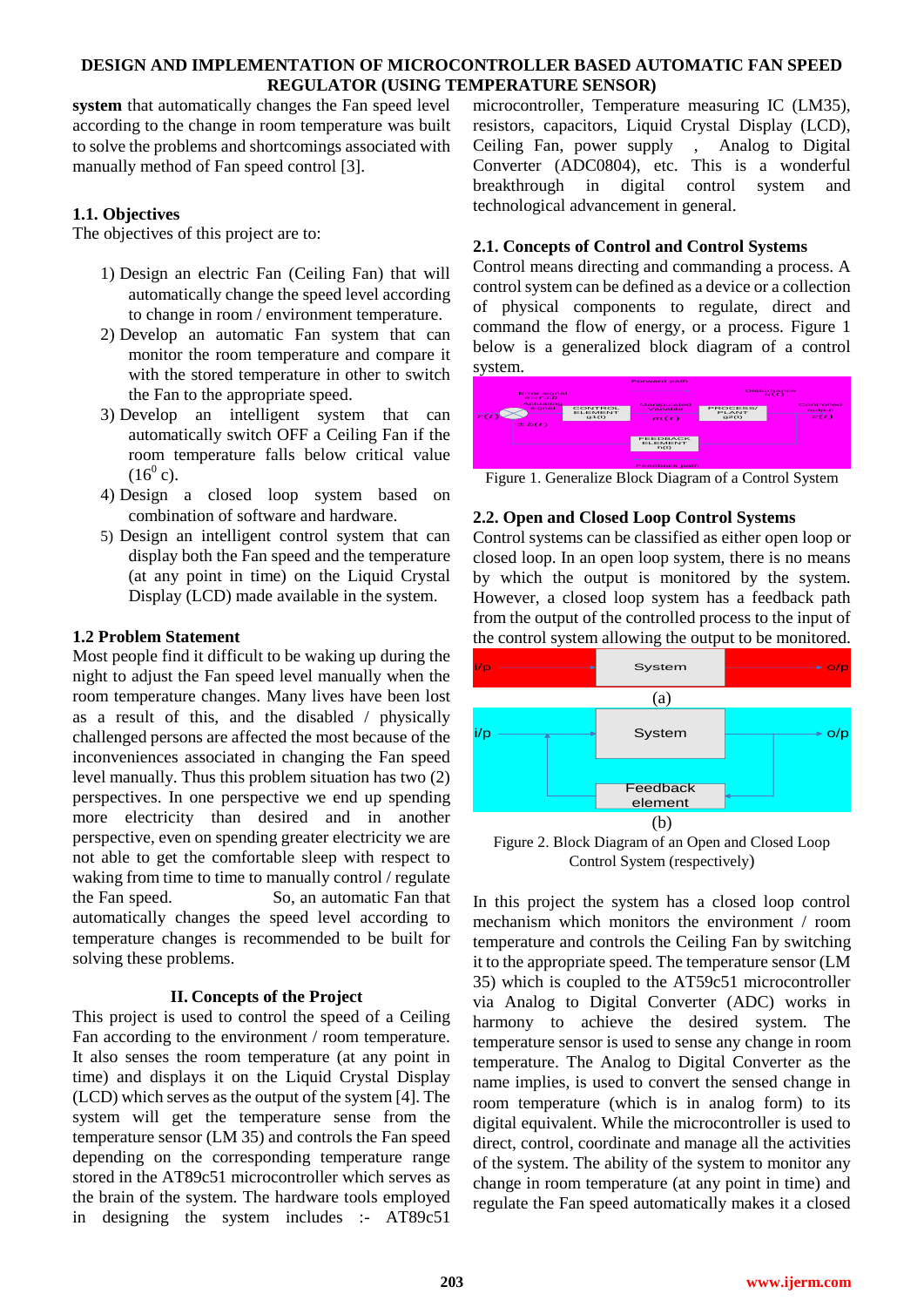**system** that automatically changes the Fan speed level according to the change in room temperature was built to solve the problems and shortcomings associated with manually method of Fan speed control [3].

## **1.1. Objectives**

The objectives of this project are to:

- 1) Design an electric Fan (Ceiling Fan) that will automatically change the speed level according to change in room / environment temperature.
- 2) Develop an automatic Fan system that can monitor the room temperature and compare it with the stored temperature in other to switch the Fan to the appropriate speed.
- 3) Develop an intelligent system that can automatically switch OFF a Ceiling Fan if the room temperature falls below critical value  $(16^0 c)$ .
- 4) Design a closed loop system based on combination of software and hardware.
- 5) Design an intelligent control system that can display both the Fan speed and the temperature (at any point in time) on the Liquid Crystal Display (LCD) made available in the system.

## **1.2 Problem Statement**

Most people find it difficult to be waking up during the night to adjust the Fan speed level manually when the room temperature changes. Many lives have been lost as a result of this, and the disabled / physically challenged persons are affected the most because of the inconveniences associated in changing the Fan speed level manually. Thus this problem situation has two (2) perspectives. In one perspective we end up spending more electricity than desired and in another perspective, even on spending greater electricity we are not able to get the comfortable sleep with respect to waking from time to time to manually control / regulate the Fan speed. So, an automatic Fan that automatically changes the speed level according to temperature changes is recommended to be built for solving these problems.

## **II. Concepts of the Project**

This project is used to control the speed of a Ceiling Fan according to the environment / room temperature. It also senses the room temperature (at any point in time) and displays it on the Liquid Crystal Display (LCD) which serves as the output of the system [4]. The system will get the temperature sense from the temperature sensor (LM 35) and controls the Fan speed depending on the corresponding temperature range stored in the AT89c51 microcontroller which serves as the brain of the system. The hardware tools employed in designing the system includes :- AT89c51

microcontroller, Temperature measuring IC (LM35), resistors, capacitors, Liquid Crystal Display (LCD), Ceiling Fan, power supply , Analog to Digital Converter (ADC0804), etc. This is a wonderful breakthrough in digital control system and technological advancement in general.

## **2.1. Concepts of Control and Control Systems**

Control means directing and commanding a process. A control system can be defined as a device or a collection of physical components to regulate, direct and command the flow of energy, or a process. Figure 1 below is a generalized block diagram of a control system.



Figure 1. Generalize Block Diagram of a Control System

## **2.2. Open and Closed Loop Control Systems**

Control systems can be classified as either open loop or closed loop. In an open loop system, there is no means by which the output is monitored by the system. However, a closed loop system has a feedback path from the output of the controlled process to the input of the control system allowing the output to be monitored.



Figure 2. Block Diagram of an Open and Closed Loop Control System (respectively)

In this project the system has a closed loop control mechanism which monitors the environment / room temperature and controls the Ceiling Fan by switching it to the appropriate speed. The temperature sensor (LM 35) which is coupled to the AT59c51 microcontroller via Analog to Digital Converter (ADC) works in harmony to achieve the desired system. The temperature sensor is used to sense any change in room temperature. The Analog to Digital Converter as the name implies, is used to convert the sensed change in room temperature (which is in analog form) to its digital equivalent. While the microcontroller is used to direct, control, coordinate and manage all the activities of the system. The ability of the system to monitor any change in room temperature (at any point in time) and regulate the Fan speed automatically makes it a closed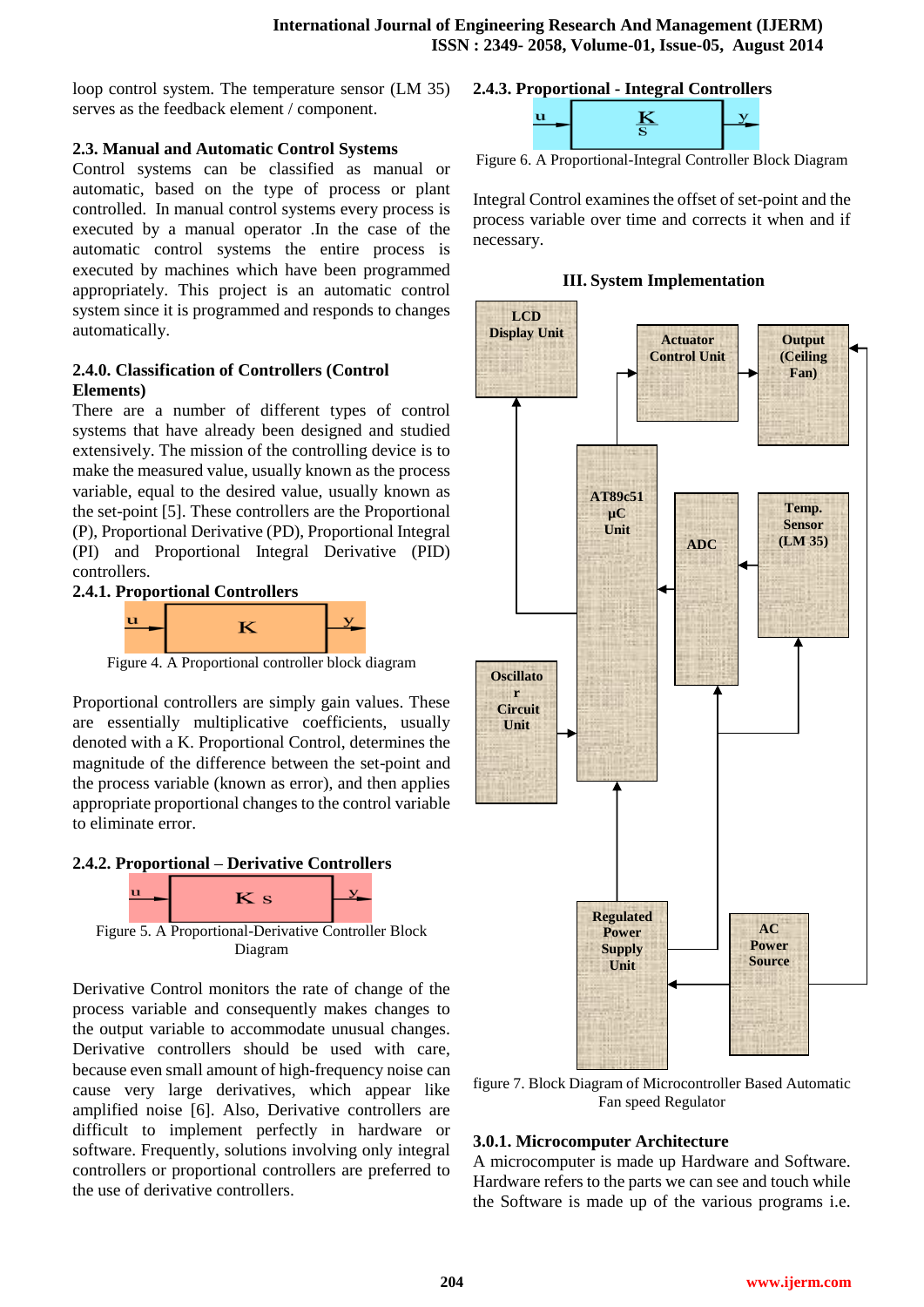loop control system. The temperature sensor (LM 35) serves as the feedback element / component.

## **2.3. Manual and Automatic Control Systems**

Control systems can be classified as manual or automatic, based on the type of process or plant controlled. In manual control systems every process is executed by a manual operator .In the case of the automatic control systems the entire process is executed by machines which have been programmed appropriately. This project is an automatic control system since it is programmed and responds to changes automatically.

# **2.4.0. Classification of Controllers (Control Elements)**

There are a number of different types of control systems that have already been designed and studied extensively. The mission of the controlling device is to make the measured value, usually known as the process variable, equal to the desired value, usually known as the set-point [5]. These controllers are the Proportional (P), Proportional Derivative (PD), Proportional Integral (PI) and Proportional Integral Derivative (PID) controllers.





Figure 4. A Proportional controller block diagram

Proportional controllers are simply gain values. These are essentially multiplicative coefficients, usually denoted with a K. Proportional Control, determines the magnitude of the difference between the set-point and the process variable (known as error), and then applies appropriate proportional changes to the control variable to eliminate error.

# **2.4.2. Proportional – Derivative Controllers**



Derivative Control monitors the rate of change of the process variable and consequently makes changes to the output variable to accommodate unusual changes. Derivative controllers should be used with care, because even small amount of high-frequency noise can cause very large derivatives, which appear like amplified noise [6]. Also, Derivative controllers are difficult to implement perfectly in hardware or software. Frequently, solutions involving only integral controllers or proportional controllers are preferred to the use of derivative controllers.

## **2.4.3. Proportional - Integral Controllers**



Figure 6. A Proportional-Integral Controller Block Diagram

Integral Control examines the offset of set-point and the process variable over time and corrects it when and if necessary.

## **III. System Implementation**



figure 7. Block Diagram of Microcontroller Based Automatic Fan speed Regulator

# **3.0.1. Microcomputer Architecture**

A microcomputer is made up Hardware and Software. Hardware refers to the parts we can see and touch while the Software is made up of the various programs i.e.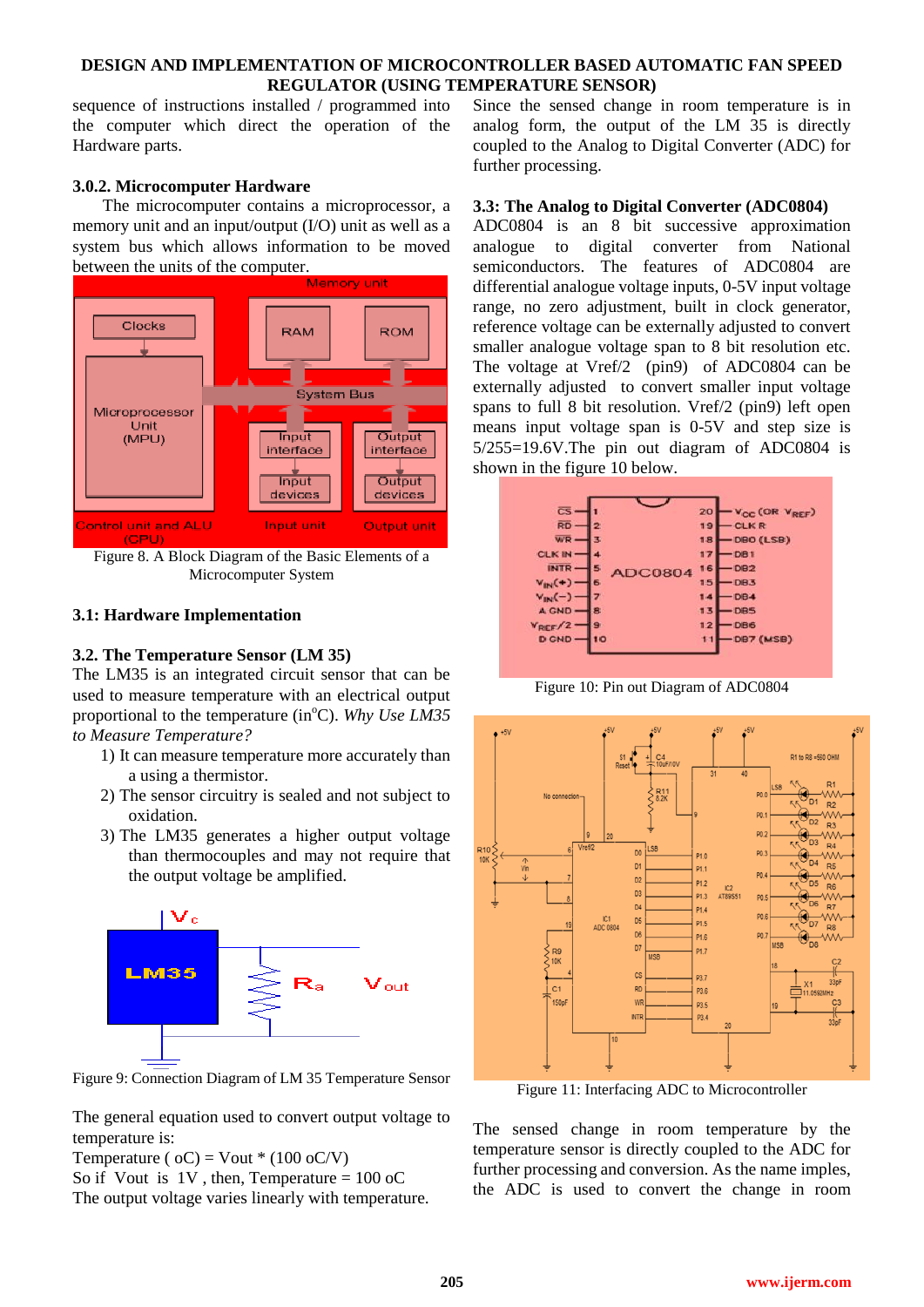sequence of instructions installed / programmed into the computer which direct the operation of the Hardware parts.

## **3.0.2. Microcomputer Hardware**

 The microcomputer contains a microprocessor, a memory unit and an input/output (I/O) unit as well as a system bus which allows information to be moved between the units of the computer.



Figure 8. A Block Diagram of the Basic Elements of a Microcomputer System

#### **3.1: Hardware Implementation**

#### **3.2. The Temperature Sensor (LM 35)**

The LM35 is an integrated circuit sensor that can be used to measure temperature with an electrical output proportional to the temperature (in<sup>o</sup>C). *Why Use LM35 to Measure Temperature?* 

- 1) It can measure temperature more accurately than a using a thermistor.
- 2) The sensor circuitry is sealed and not subject to oxidation.
- 3) The LM35 generates a higher output voltage than thermocouples and may not require that the output voltage be amplified.



Figure 9: Connection Diagram of LM 35 Temperature Sensor

The general equation used to convert output voltage to temperature is:

Temperature ( $oC$ ) = Vout \* (100  $oC/V$ )

So if Vout is  $1V$ , then, Temperature =  $100$  oC The output voltage varies linearly with temperature. Since the sensed change in room temperature is in analog form, the output of the LM 35 is directly coupled to the Analog to Digital Converter (ADC) for further processing.

#### **3.3: The Analog to Digital Converter (ADC0804)**

ADC0804 is an 8 bit successive approximation analogue to digital converter from National semiconductors. The features of ADC0804 are differential analogue voltage inputs, 0-5V input voltage range, no zero adjustment, built in clock generator, reference voltage can be externally adjusted to convert smaller analogue voltage span to 8 bit resolution etc. The voltage at Vref/2 (pin9) of ADC0804 can be externally adjusted to convert smaller input voltage spans to full 8 bit resolution. Vref/2 (pin9) left open means input voltage span is 0-5V and step size is 5/255=19.6V.The pin out diagram of ADC0804 is shown in the figure 10 below.



Figure 10: Pin out Diagram of ADC0804



Figure 11: Interfacing ADC to Microcontroller

The sensed change in room temperature by the temperature sensor is directly coupled to the ADC for further processing and conversion. As the name imples, the ADC is used to convert the change in room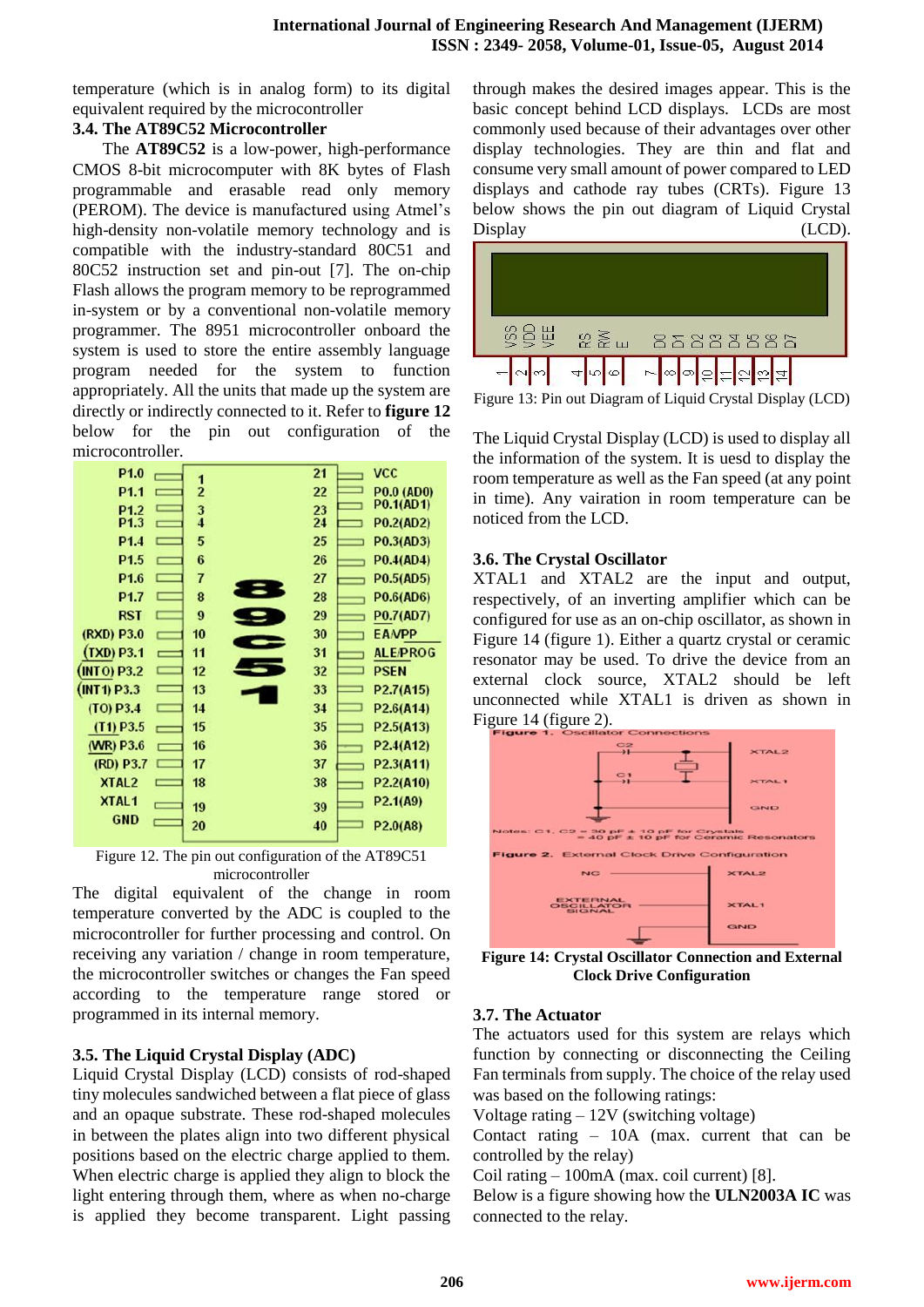temperature (which is in analog form) to its digital equivalent required by the microcontroller

## **3.4. The AT89C52 Microcontroller**

 The **AT89C52** is a low-power, high-performance CMOS 8-bit microcomputer with 8K bytes of Flash programmable and erasable read only memory (PEROM). The device is manufactured using Atmel's high-density non-volatile memory technology and is compatible with the industry-standard 80C51 and 80C52 instruction set and pin-out [7]. The on-chip Flash allows the program memory to be reprogrammed in-system or by a conventional non-volatile memory programmer. The 8951 microcontroller onboard the system is used to store the entire assembly language program needed for the system to function appropriately. All the units that made up the system are directly or indirectly connected to it. Refer to **figure 12** below for the pin out configuration of the microcontroller.



Figure 12. The pin out configuration of the AT89C51 microcontroller

The digital equivalent of the change in room temperature converted by the ADC is coupled to the microcontroller for further processing and control. On receiving any variation / change in room temperature, the microcontroller switches or changes the Fan speed according to the temperature range stored or programmed in its internal memory.

# **3.5. The Liquid Crystal Display (ADC)**

Liquid Crystal Display (LCD) consists of rod-shaped tiny molecules sandwiched between a flat piece of glass and an opaque substrate. These rod-shaped molecules in between the plates align into two different physical positions based on the electric charge applied to them. When electric charge is applied they align to block the light entering through them, where as when no-charge is applied they become transparent. Light passing

through makes the desired images appear. This is the basic concept behind LCD displays. LCDs are most commonly used because of their advantages over other display technologies. They are thin and flat and consume very small amount of power compared to LED displays and cathode ray tubes (CRTs). Figure 13 below shows the pin out diagram of Liquid Crystal Display (LCD).



Figure 13: Pin out Diagram of Liquid Crystal Display (LCD)

The Liquid Crystal Display (LCD) is used to display all the information of the system. It is uesd to display the room temperature as well as the Fan speed (at any point in time). Any vairation in room temperature can be noticed from the LCD.

# **3.6. The Crystal Oscillator**

XTAL1 and XTAL2 are the input and output, respectively, of an inverting amplifier which can be configured for use as an on-chip oscillator, as shown in Figure 14 (figure 1). Either a quartz crystal or ceramic resonator may be used. To drive the device from an external clock source, XTAL2 should be left unconnected while XTAL1 is driven as shown in Figure 14 (figure 2).



**Figure 14: Crystal Oscillator Connection and External Clock Drive Configuration**

# **3.7. The Actuator**

The actuators used for this system are relays which function by connecting or disconnecting the Ceiling Fan terminals from supply. The choice of the relay used was based on the following ratings:

Voltage rating – 12V (switching voltage)

Contact rating – 10A (max. current that can be controlled by the relay)

Coil rating – 100mA (max. coil current) [8].

Below is a figure showing how the **ULN2003A IC** was connected to the relay.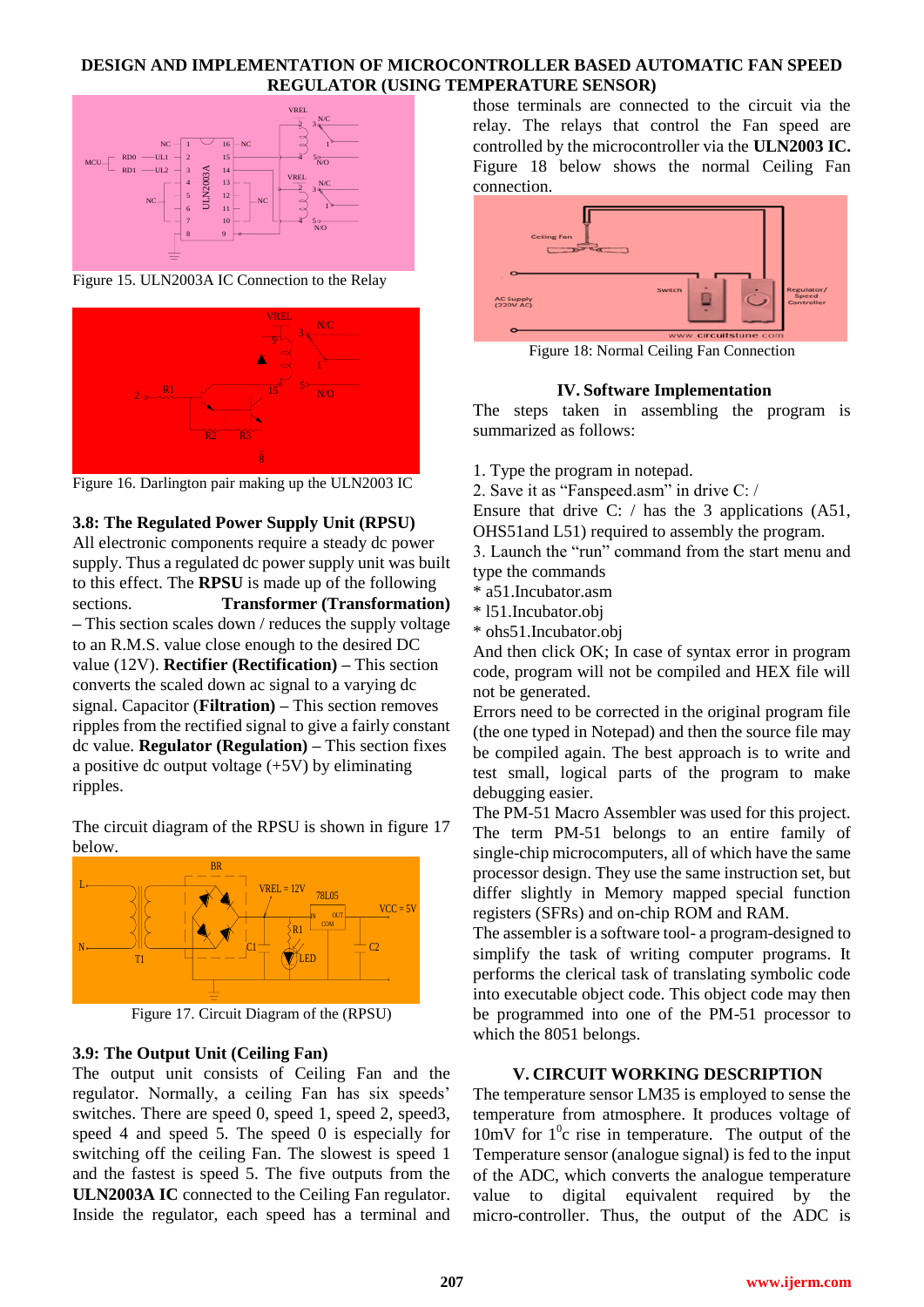

Figure 15. ULN2003A IC Connection to the Relay



Figure 16. Darlington pair making up the ULN2003 IC

#### **3.8: The Regulated Power Supply Unit (RPSU)**

**Example 18 CENERUM CONSULTER SERVIE AS A CONSULTER SERVIES CONSULTER SERVIES CONSULTER SERVIES CONSULTER SERVIES CONSULTER SERVIES CONSULTER SERVIES CONSULTER SERVIES CONSULTER SERVIES CONSULTER SERVIES CONSULTER SERVIES** All electronic components require a steady dc power supply. Thus a regulated dc power supply unit was built to this effect. The **RPSU** is made up of the following sections. **Transformer (Transformation) –** This section scales down / reduces the supply voltage to an R.M.S. value close enough to the desired DC value (12V). **Rectifier (Rectification) –** This section converts the scaled down ac signal to a varying dc signal. Capacitor (**Filtration) –** This section removes ripples from the rectified signal to give a fairly constant dc value. **Regulator (Regulation) –** This section fixes a positive dc output voltage  $(+5V)$  by eliminating ripples.

The circuit diagram of the RPSU is shown in figure 17 below.



Figure 17. Circuit Diagram of the (RPSU)

#### **3.9: The Output Unit (Ceiling Fan)**

The output unit consists of Ceiling Fan and the regulator. Normally, a ceiling Fan has six speeds' switches. There are speed 0, speed 1, speed 2, speed3, speed 4 and speed 5. The speed 0 is especially for switching off the ceiling Fan. The slowest is speed 1 and the fastest is speed 5. The five outputs from the **ULN2003A IC** connected to the Ceiling Fan regulator. Inside the regulator, each speed has a terminal and

those terminals are connected to the circuit via the relay. The relays that control the Fan speed are controlled by the microcontroller via the **ULN2003 IC.**  Figure 18 below shows the normal Ceiling Fan connection.



Figure 18: Normal Ceiling Fan Connection

#### **IV. Software Implementation**

The steps taken in assembling the program is summarized as follows:

1. Type the program in notepad.

2. Save it as "Fanspeed.asm" in drive C: /

Ensure that drive C: / has the 3 applications (A51, OHS51and L51) required to assembly the program.

3. Launch the "run" command from the start menu and type the commands

- \* a51.Incubator.asm
- \* l51.Incubator.obj
- \* ohs51.Incubator.obj

And then click OK; In case of syntax error in program code, program will not be compiled and HEX file will not be generated.

Errors need to be corrected in the original program file (the one typed in Notepad) and then the source file may be compiled again. The best approach is to write and test small, logical parts of the program to make debugging easier.

The PM-51 Macro Assembler was used for this project. The term PM-51 belongs to an entire family of single-chip microcomputers, all of which have the same processor design. They use the same instruction set, but differ slightly in Memory mapped special function registers (SFRs) and on-chip ROM and RAM.

The assembler is a software tool- a program-designed to simplify the task of writing computer programs. It performs the clerical task of translating symbolic code into executable object code. This object code may then be programmed into one of the PM-51 processor to which the 8051 belongs.

#### **V. CIRCUIT WORKING DESCRIPTION**

The temperature sensor LM35 is employed to sense the temperature from atmosphere. It produces voltage of  $10mV$  for  $1^{0}$ c rise in temperature. The output of the Temperature sensor (analogue signal) is fed to the input of the ADC, which converts the analogue temperature value to digital equivalent required by the micro-controller. Thus, the output of the ADC is